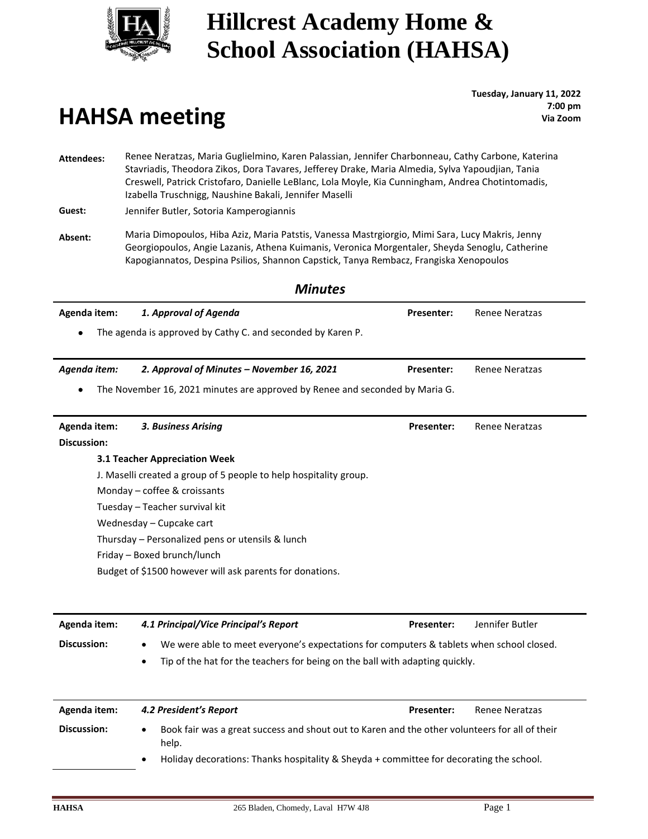

# **HAHSA meeting**

**Tuesday, January 11, 2022 : 7:00 pm Via Zoom**

**Attendees:** Renee Neratzas, Maria Guglielmino, Karen Palassian, Jennifer Charbonneau, Cathy Carbone, Katerina Stavriadis, Theodora Zikos, Dora Tavares, Jefferey Drake, Maria Almedia, Sylva Yapoudjian, Tania Creswell, Patrick Cristofaro, Danielle LeBlanc, Lola Moyle, Kia Cunningham, Andrea Chotintomadis, Izabella Truschnigg, Naushine Bakali, Jennifer Maselli

**Guest:** Jennifer Butler, Sotoria Kamperogiannis

**Absent:** Maria Dimopoulos, Hiba Aziz, Maria Patstis, Vanessa Mastrgiorgio, Mimi Sara, Lucy Makris, Jenny Georgiopoulos, Angie Lazanis, Athena Kuimanis, Veronica Morgentaler, Sheyda Senoglu, Catherine Kapogiannatos, Despina Psilios, Shannon Capstick, Tanya Rembacz, Frangiska Xenopoulos

|                    | <b>Minutes</b>                                                                                        |                   |                       |
|--------------------|-------------------------------------------------------------------------------------------------------|-------------------|-----------------------|
| Agenda item:       | 1. Approval of Agenda                                                                                 | <b>Presenter:</b> | <b>Renee Neratzas</b> |
|                    | The agenda is approved by Cathy C. and seconded by Karen P.                                           |                   |                       |
| Agenda item:       | 2. Approval of Minutes - November 16, 2021                                                            | <b>Presenter:</b> | <b>Renee Neratzas</b> |
|                    | The November 16, 2021 minutes are approved by Renee and seconded by Maria G.                          |                   |                       |
| Agenda item:       | 3. Business Arising                                                                                   | Presenter:        | <b>Renee Neratzas</b> |
| <b>Discussion:</b> |                                                                                                       |                   |                       |
|                    | 3.1 Teacher Appreciation Week                                                                         |                   |                       |
|                    | J. Maselli created a group of 5 people to help hospitality group.                                     |                   |                       |
|                    | Monday - coffee & croissants                                                                          |                   |                       |
|                    | Tuesday - Teacher survival kit                                                                        |                   |                       |
|                    | Wednesday - Cupcake cart                                                                              |                   |                       |
|                    | Thursday - Personalized pens or utensils & lunch                                                      |                   |                       |
|                    | Friday - Boxed brunch/lunch                                                                           |                   |                       |
|                    | Budget of \$1500 however will ask parents for donations.                                              |                   |                       |
|                    |                                                                                                       |                   |                       |
| Agenda item:       | 4.1 Principal/Vice Principal's Report                                                                 | <b>Presenter:</b> | Jennifer Butler       |
| <b>Discussion:</b> | We were able to meet everyone's expectations for computers & tablets when school closed.<br>$\bullet$ |                   |                       |
|                    | Tip of the hat for the teachers for being on the ball with adapting quickly.<br>٠                     |                   |                       |
| Agenda item:       | 4.2 President's Report                                                                                | <b>Presenter:</b> | <b>Renee Neratzas</b> |

| Discussion: | Book fair was a great success and shout out to Karen and the other volunteers for all of their<br>help. |
|-------------|---------------------------------------------------------------------------------------------------------|
|             | Holiday decorations: Thanks hospitality & Sheyda + committee for decorating the school.                 |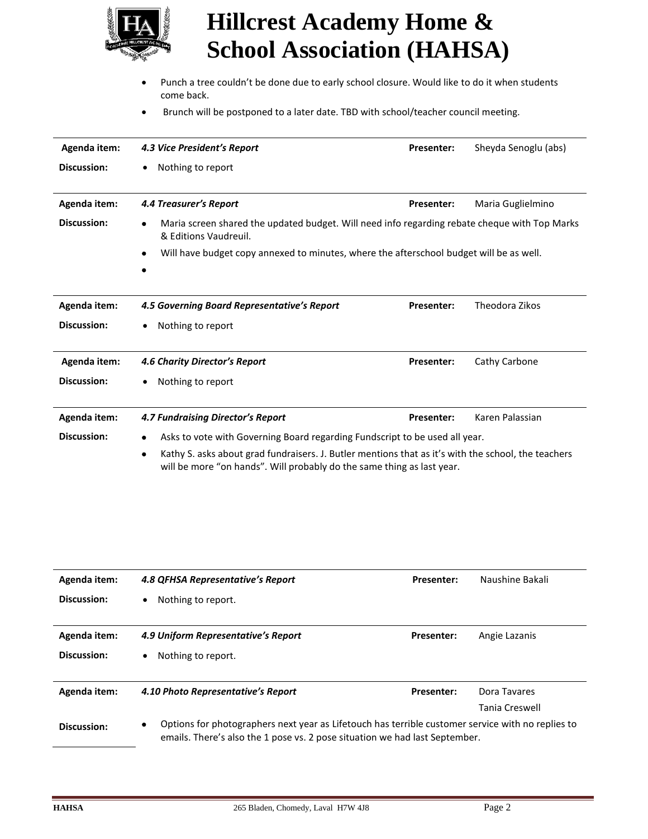

- • Punch a tree couldn't be done due to early school closure. Would like to do it when students come back.
- Brunch will be postponed to a later date. TBD with school/teacher council meeting.

| Agenda item:                                                                                                                                                                               | 4.3 Vice President's Report                                                                                                         | <b>Presenter:</b> | Sheyda Senoglu (abs) |
|--------------------------------------------------------------------------------------------------------------------------------------------------------------------------------------------|-------------------------------------------------------------------------------------------------------------------------------------|-------------------|----------------------|
| <b>Discussion:</b>                                                                                                                                                                         | Nothing to report                                                                                                                   |                   |                      |
|                                                                                                                                                                                            |                                                                                                                                     |                   |                      |
| Agenda item:                                                                                                                                                                               | 4.4 Treasurer's Report                                                                                                              | <b>Presenter:</b> | Maria Guglielmino    |
| <b>Discussion:</b>                                                                                                                                                                         | Maria screen shared the updated budget. Will need info regarding rebate cheque with Top Marks<br>$\bullet$<br>& Editions Vaudreuil. |                   |                      |
|                                                                                                                                                                                            | Will have budget copy annexed to minutes, where the afterschool budget will be as well.                                             |                   |                      |
|                                                                                                                                                                                            |                                                                                                                                     |                   |                      |
| Agenda item:                                                                                                                                                                               | 4.5 Governing Board Representative's Report                                                                                         | <b>Presenter:</b> | Theodora Zikos       |
| <b>Discussion:</b>                                                                                                                                                                         | Nothing to report                                                                                                                   |                   |                      |
| Agenda item:                                                                                                                                                                               | 4.6 Charity Director's Report                                                                                                       | <b>Presenter:</b> | Cathy Carbone        |
| Discussion:                                                                                                                                                                                | Nothing to report                                                                                                                   |                   |                      |
| Agenda item:                                                                                                                                                                               | 4.7 Fundraising Director's Report                                                                                                   | Presenter:        | Karen Palassian      |
| <b>Discussion:</b>                                                                                                                                                                         | Asks to vote with Governing Board regarding Fundscript to be used all year.<br>٠                                                    |                   |                      |
| Kathy S. asks about grad fundraisers. J. Butler mentions that as it's with the school, the teachers<br>$\bullet$<br>will be more "on hands". Will probably do the same thing as last year. |                                                                                                                                     |                   |                      |

| Agenda item: | 4.8 QFHSA Representative's Report                                                                                                                                                     | <b>Presenter:</b> | Naushine Bakali |
|--------------|---------------------------------------------------------------------------------------------------------------------------------------------------------------------------------------|-------------------|-----------------|
| Discussion:  | Nothing to report.<br>$\bullet$                                                                                                                                                       |                   |                 |
|              |                                                                                                                                                                                       |                   |                 |
| Agenda item: | 4.9 Uniform Representative's Report                                                                                                                                                   | <b>Presenter:</b> | Angie Lazanis   |
| Discussion:  | Nothing to report.<br>٠                                                                                                                                                               |                   |                 |
| Agenda item: | 4.10 Photo Representative's Report                                                                                                                                                    | <b>Presenter:</b> | Dora Tavares    |
|              |                                                                                                                                                                                       |                   | Tania Creswell  |
| Discussion:  | Options for photographers next year as Lifetouch has terrible customer service with no replies to<br>٠<br>emails. There's also the 1 pose vs. 2 pose situation we had last September. |                   |                 |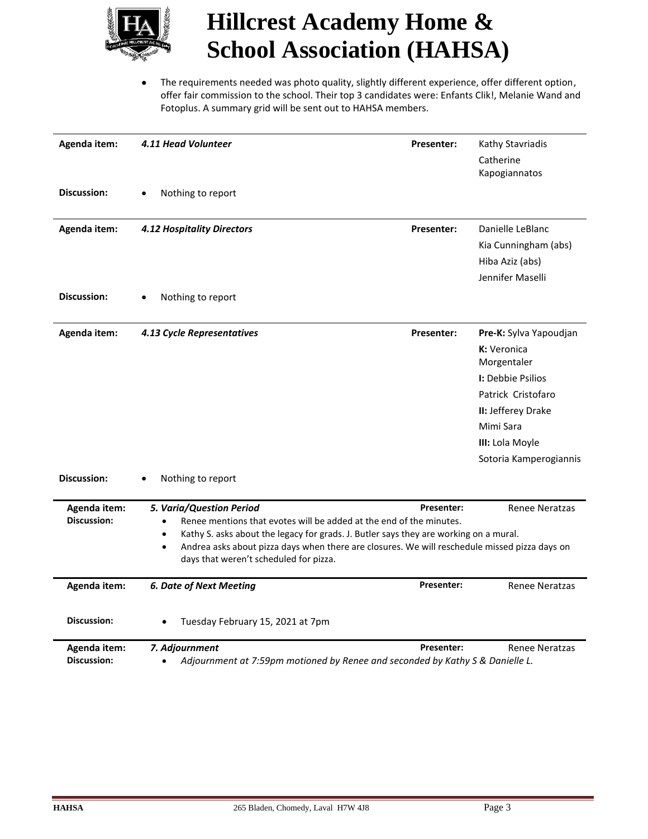

 • The requirements needed was photo quality, slightly different experience, offer different option, offer fair commission to the school. Their top 3 candidates were: Enfants Clik!, Melanie Wand and Fotoplus. A summary grid will be sent out to HAHSA members.

| Agenda item:<br><b>Discussion:</b> | 4.11 Head Volunteer<br>Nothing to report                                                                                                                                                                                                                                                                                                                                   | <b>Presenter:</b> | Kathy Stavriadis<br>Catherine<br>Kapogiannatos                                                                                                                                         |
|------------------------------------|----------------------------------------------------------------------------------------------------------------------------------------------------------------------------------------------------------------------------------------------------------------------------------------------------------------------------------------------------------------------------|-------------------|----------------------------------------------------------------------------------------------------------------------------------------------------------------------------------------|
| Agenda item:<br><b>Discussion:</b> | <b>4.12 Hospitality Directors</b><br>Nothing to report                                                                                                                                                                                                                                                                                                                     | <b>Presenter:</b> | Danielle LeBlanc<br>Kia Cunningham (abs)<br>Hiba Aziz (abs)<br>Jennifer Maselli                                                                                                        |
| Agenda item:<br>Discussion:        | 4.13 Cycle Representatives<br>Nothing to report                                                                                                                                                                                                                                                                                                                            | <b>Presenter:</b> | Pre-K: Sylva Yapoudjan<br>K: Veronica<br>Morgentaler<br><b>I:</b> Debbie Psilios<br>Patrick Cristofaro<br>II: Jefferey Drake<br>Mimi Sara<br>III: Lola Moyle<br>Sotoria Kamperogiannis |
| Agenda item:<br><b>Discussion:</b> | 5. Varia/Question Period<br>Renee mentions that evotes will be added at the end of the minutes.<br>$\bullet$<br>Kathy S. asks about the legacy for grads. J. Butler says they are working on a mural.<br>$\bullet$<br>Andrea asks about pizza days when there are closures. We will reschedule missed pizza days on<br>$\bullet$<br>days that weren't scheduled for pizza. | Presenter:        | <b>Renee Neratzas</b>                                                                                                                                                                  |
| Agenda item:<br><b>Discussion:</b> | <b>6. Date of Next Meeting</b><br>Tuesday February 15, 2021 at 7pm                                                                                                                                                                                                                                                                                                         | Presenter:        | <b>Renee Neratzas</b>                                                                                                                                                                  |
| Agenda item:<br><b>Discussion:</b> | 7. Adjournment<br>Adjournment at 7:59pm motioned by Renee and seconded by Kathy S & Danielle L.                                                                                                                                                                                                                                                                            | <b>Presenter:</b> | <b>Renee Neratzas</b>                                                                                                                                                                  |